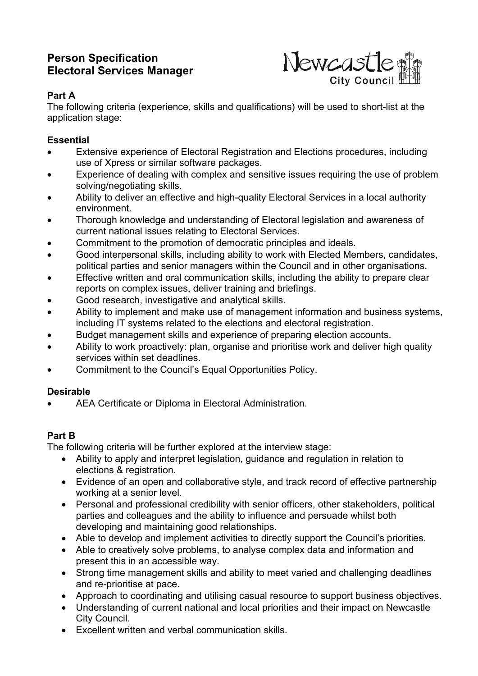# **Person Specification Electoral Services Manager**



### **Part A**

The following criteria (experience, skills and qualifications) will be used to short-list at the application stage:

### **Essential**

- Extensive experience of Electoral Registration and Elections procedures, including use of Xpress or similar software packages.
- Experience of dealing with complex and sensitive issues requiring the use of problem solving/negotiating skills.
- Ability to deliver an effective and high-quality Electoral Services in a local authority environment.
- Thorough knowledge and understanding of Electoral legislation and awareness of current national issues relating to Electoral Services.
- Commitment to the promotion of democratic principles and ideals.
- Good interpersonal skills, including ability to work with Elected Members, candidates, political parties and senior managers within the Council and in other organisations.
- Effective written and oral communication skills, including the ability to prepare clear reports on complex issues, deliver training and briefings.
- Good research, investigative and analytical skills.
- Ability to implement and make use of management information and business systems, including IT systems related to the elections and electoral registration.
- Budget management skills and experience of preparing election accounts.
- Ability to work proactively: plan, organise and prioritise work and deliver high quality services within set deadlines.
- Commitment to the Council's Equal Opportunities Policy.

## **Desirable**

AEA Certificate or Diploma in Electoral Administration.

## **Part B**

The following criteria will be further explored at the interview stage:

- Ability to apply and interpret legislation, guidance and regulation in relation to elections & registration.
- Evidence of an open and collaborative style, and track record of effective partnership working at a senior level.
- Personal and professional credibility with senior officers, other stakeholders, political parties and colleagues and the ability to influence and persuade whilst both developing and maintaining good relationships.
- Able to develop and implement activities to directly support the Council's priorities.
- Able to creatively solve problems, to analyse complex data and information and present this in an accessible way.
- Strong time management skills and ability to meet varied and challenging deadlines and re-prioritise at pace.
- Approach to coordinating and utilising casual resource to support business objectives.
- Understanding of current national and local priorities and their impact on Newcastle City Council.
- Excellent written and verbal communication skills.